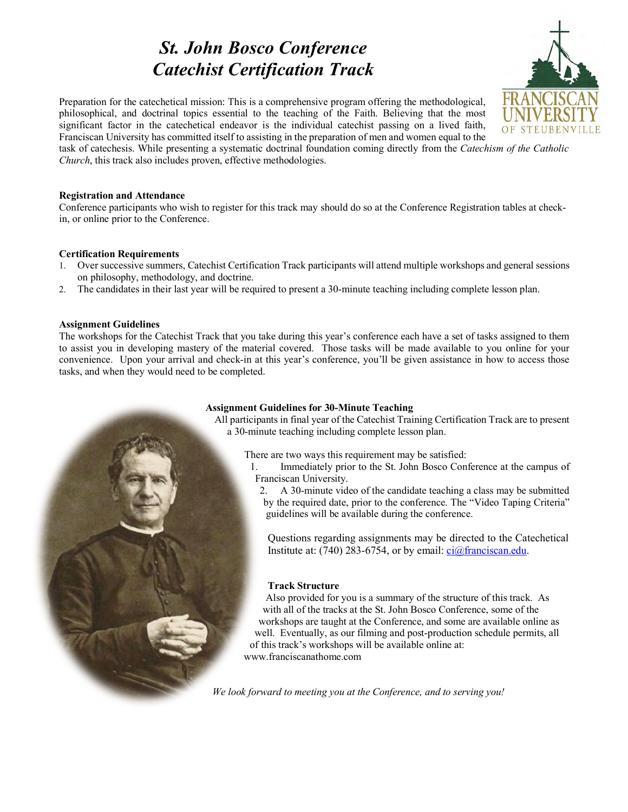# *St. John Bosco Conference Catechist Certification Track*



Preparation for the catechetical mission: This is a comprehensive program offering the methodological, philosophical, and doctrinal topics essential to the teaching of the Faith. Believing that the most significant factor in the catechetical endeavor is the individual catechist passing on a lived faith, Franciscan University has committed itself to assisting in the preparation of men and women equal to the

task of catechesis. While presenting a systematic doctrinal foundation coming directly from the *Catechism of the Catholic Church*, this track also includes proven, effective methodologies.

# **Registration and Attendance**

Conference participants who wish to register for this track may should do so at the Conference Registration tables at checkin, or online prior to the Conference.

# **Certification Requirements**

- 1. Over successive summers, Catechist Certification Track participants will attend multiple workshops and general sessions on philosophy, methodology, and doctrine.
- 2. The candidates in their last year will be required to present a 30-minute teaching including complete lesson plan.

# **Assignment Guidelines**

The workshops for the Catechist Track that you take during this year's conference each have a set of tasks assigned to them to assist you in developing mastery of the material covered. Those tasks will be made available to you online for your convenience. Upon your arrival and check-in at this year's conference, you'll be given assistance in how to access those tasks, and when they would need to be completed.

# **Assignment Guidelines for 30-Minute Teaching**

All participants in final year of the Catechist Training Certification Track are to present a 30-minute teaching including complete lesson plan.

There are two ways this requirement may be satisfied:

1. Immediately prior to the St. John Bosco Conference at the campus of Franciscan University.

2. A 30-minute video of the candidate teaching a class may be submitted by the required date, prior to the conference. The "Video Taping Criteria" guidelines will be available during the conference.

Questions regarding assignments may be directed to the Catechetical Institute at: (740) 283-6754, or by email:  $ci@francisean.edu$ .

# **Track Structure**

Also provided for you is a summary of the structure of this track. As with all of the tracks at the St. John Bosco Conference, some of the workshops are taught at the Conference, and some are available online as well. Eventually, as our filming and post-production schedule permits, all of this track's workshops will be available online at: www.franciscanathome.com

*We look forward to meeting you at the Conference, and to serving you!*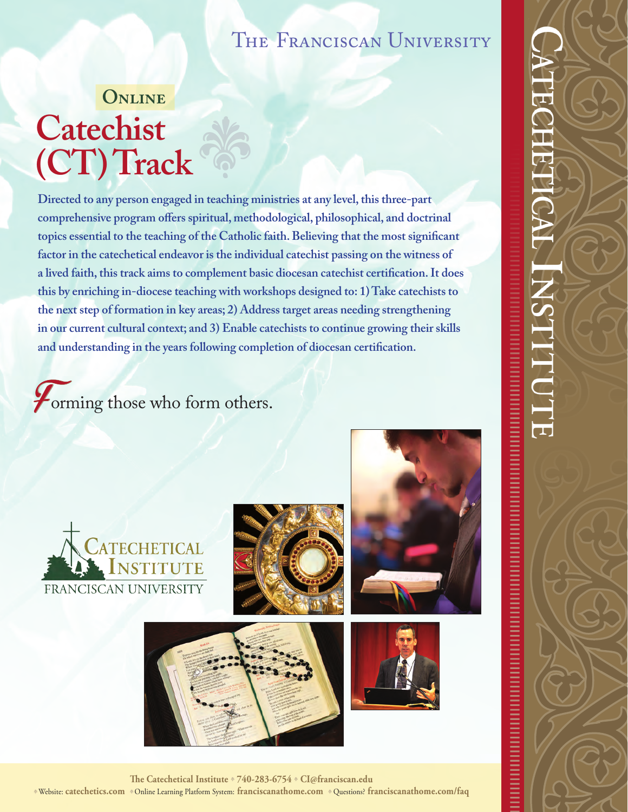# THE FRANCISCAN UNIVERSITY

# **Online Catechist (CT) Track**s

**Directed to any person engaged in teaching ministries at any level, this three-part comprehensive program offers spiritual, methodological, philosophical, and doctrinal topics essential to the teaching of the Catholic faith. Believing that the most significant factor in the catechetical endeavor is the individual catechist passing on the witness of a lived faith, this track aims to complement basic diocesan catechist certification. It does this by enriching in-diocese teaching with workshops designed to: 1) Take catechists to the next step of formation in key areas; 2) Address target areas needing strengthening in our current cultural context; and 3) Enable catechists to continue growing their skills and understanding in the years following completion of diocesan certification.**

*Forming those who form others.* 











**The Catechetical Institute** <sup>s</sup> **740-283-6754** <sup>s</sup> **CI@franciscan.edu** <sup>s</sup>Website: **catechetics.com** s Online Learning Platform System: **franciscanathome.com** s Questions? **franciscanathome.com/faq**